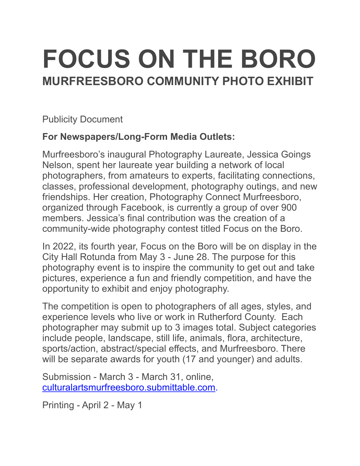# **FOCUS ON THE BORO MURFREESBORO COMMUNITY PHOTO EXHIBIT**

Publicity Document

# **For Newspapers/Long-Form Media Outlets:**

Murfreesboro's inaugural Photography Laureate, Jessica Goings Nelson, spent her laureate year building a network of local photographers, from amateurs to experts, facilitating connections, classes, professional development, photography outings, and new friendships. Her creation, Photography Connect Murfreesboro, organized through Facebook, is currently a group of over 900 members. Jessica's final contribution was the creation of a community-wide photography contest titled Focus on the Boro.

In 2022, its fourth year, Focus on the Boro will be on display in the City Hall Rotunda from May 3 - June 28. The purpose for this photography event is to inspire the community to get out and take pictures, experience a fun and friendly competition, and have the opportunity to exhibit and enjoy photography.

The competition is open to photographers of all ages, styles, and experience levels who live or work in Rutherford County. Each photographer may submit up to 3 images total. Subject categories include people, landscape, still life, animals, flora, architecture, sports/action, abstract/special effects, and Murfreesboro. There will be separate awards for youth (17 and younger) and adults.

Submission - March 3 - March 31, online, [culturalartsmurfreesboro.submittable.com](http://culturalartsmurfreesboro.submittable.com).

Printing - April 2 - May 1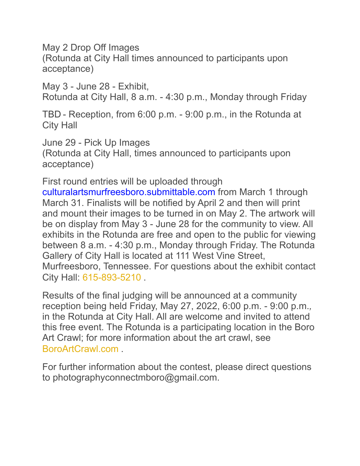May 2 Drop Off Images (Rotunda at City Hall times announced to participants upon acceptance)

May 3 - June 28 - Exhibit, Rotunda at City Hall, 8 a.m. - 4:30 p.m., Monday through Friday

TBD - Reception, from 6:00 p.m. - 9:00 p.m., in the Rotunda at City Hall

June 29 - Pick Up Images (Rotunda at City Hall, times announced to participants upon acceptance)

First round entries will be uploaded through culturalartsmurfreesboro.submittable.com from March 1 through March 31. Finalists will be notified by April 2 and then will print and mount their images to be turned in on May 2. The artwork will be on display from May 3 - June 28 for the community to view. All exhibits in the Rotunda are free and open to the public for viewing between 8 a.m. - 4:30 p.m., Monday through Friday. The Rotunda Gallery of City Hall is located at 111 West Vine Street, Murfreesboro, Tennessee. For questions about the exhibit contact City Hall: 615-893-5210 .

Results of the final judging will be announced at a community reception being held Friday, May 27, 2022, 6:00 p.m. - 9:00 p.m.*,*  in the Rotunda at City Hall. All are welcome and invited to attend this free event. The Rotunda is a participating location in the Boro Art Crawl; for more information about the art crawl, see BoroArtCrawl.com .

For further information about the contest, please direct questions to photographyconnectmboro@gmail.com.